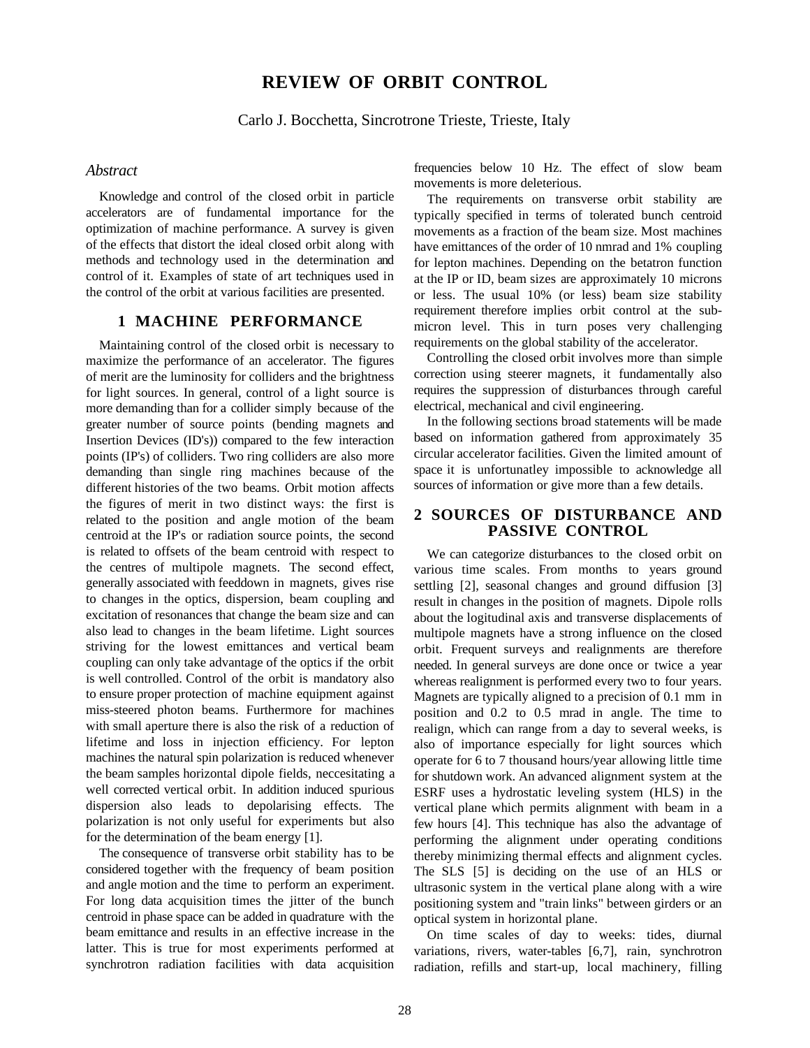# **REVIEW OF ORBIT CONTROL**

Carlo J. Bocchetta, Sincrotrone Trieste, Trieste, Italy

#### *Abstract*

Knowledge and control of the closed orbit in particle accelerators are of fundamental importance for the optimization of machine performance. A survey is given of the effects that distort the ideal closed orbit along with methods and technology used in the determination and control of it. Examples of state of art techniques used in the control of the orbit at various facilities are presented.

## **1 MACHINE PERFORMANCE**

Maintaining control of the closed orbit is necessary to maximize the performance of an accelerator. The figures of merit are the luminosity for colliders and the brightness for light sources. In general, control of a light source is more demanding than for a collider simply because of the greater number of source points (bending magnets and Insertion Devices (ID's)) compared to the few interaction points (IP's) of colliders. Two ring colliders are also more demanding than single ring machines because of the different histories of the two beams. Orbit motion affects the figures of merit in two distinct ways: the first is related to the position and angle motion of the beam centroid at the IP's or radiation source points, the second is related to offsets of the beam centroid with respect to the centres of multipole magnets. The second effect, generally associated with feeddown in magnets, gives rise to changes in the optics, dispersion, beam coupling and excitation of resonances that change the beam size and can also lead to changes in the beam lifetime. Light sources striving for the lowest emittances and vertical beam coupling can only take advantage of the optics if the orbit is well controlled. Control of the orbit is mandatory also to ensure proper protection of machine equipment against miss-steered photon beams. Furthermore for machines with small aperture there is also the risk of a reduction of lifetime and loss in injection efficiency. For lepton machines the natural spin polarization is reduced whenever the beam samples horizontal dipole fields, neccesitating a well corrected vertical orbit. In addition induced spurious dispersion also leads to depolarising effects. The polarization is not only useful for experiments but also for the determination of the beam energy [1].

The consequence of transverse orbit stability has to be considered together with the frequency of beam position and angle motion and the time to perform an experiment. For long data acquisition times the jitter of the bunch centroid in phase space can be added in quadrature with the beam emittance and results in an effective increase in the latter. This is true for most experiments performed at synchrotron radiation facilities with data acquisition

frequencies below 10 Hz. The effect of slow beam movements is more deleterious.

The requirements on transverse orbit stability are typically specified in terms of tolerated bunch centroid movements as a fraction of the beam size. Most machines have emittances of the order of 10 nmrad and 1% coupling for lepton machines. Depending on the betatron function at the IP or ID, beam sizes are approximately 10 microns or less. The usual 10% (or less) beam size stability requirement therefore implies orbit control at the submicron level. This in turn poses very challenging requirements on the global stability of the accelerator.

Controlling the closed orbit involves more than simple correction using steerer magnets, it fundamentally also requires the suppression of disturbances through careful electrical, mechanical and civil engineering.

In the following sections broad statements will be made based on information gathered from approximately 35 circular accelerator facilities. Given the limited amount of space it is unfortunatley impossible to acknowledge all sources of information or give more than a few details.

#### **2 SOURCES OF DISTURBANCE AND PASSIVE CONTROL**

We can categorize disturbances to the closed orbit on various time scales. From months to years ground settling [2], seasonal changes and ground diffusion [3] result in changes in the position of magnets. Dipole rolls about the logitudinal axis and transverse displacements of multipole magnets have a strong influence on the closed orbit. Frequent surveys and realignments are therefore needed. In general surveys are done once or twice a year whereas realignment is performed every two to four years. Magnets are typically aligned to a precision of 0.1 mm in position and 0.2 to 0.5 mrad in angle. The time to realign, which can range from a day to several weeks, is also of importance especially for light sources which operate for 6 to 7 thousand hours/year allowing little time for shutdown work. An advanced alignment system at the ESRF uses a hydrostatic leveling system (HLS) in the vertical plane which permits alignment with beam in a few hours [4]. This technique has also the advantage of performing the alignment under operating conditions thereby minimizing thermal effects and alignment cycles. The SLS [5] is deciding on the use of an HLS or ultrasonic system in the vertical plane along with a wire positioning system and "train links" between girders or an optical system in horizontal plane.

On time scales of day to weeks: tides, diurnal variations, rivers, water-tables [6,7], rain, synchrotron radiation, refills and start-up, local machinery, filling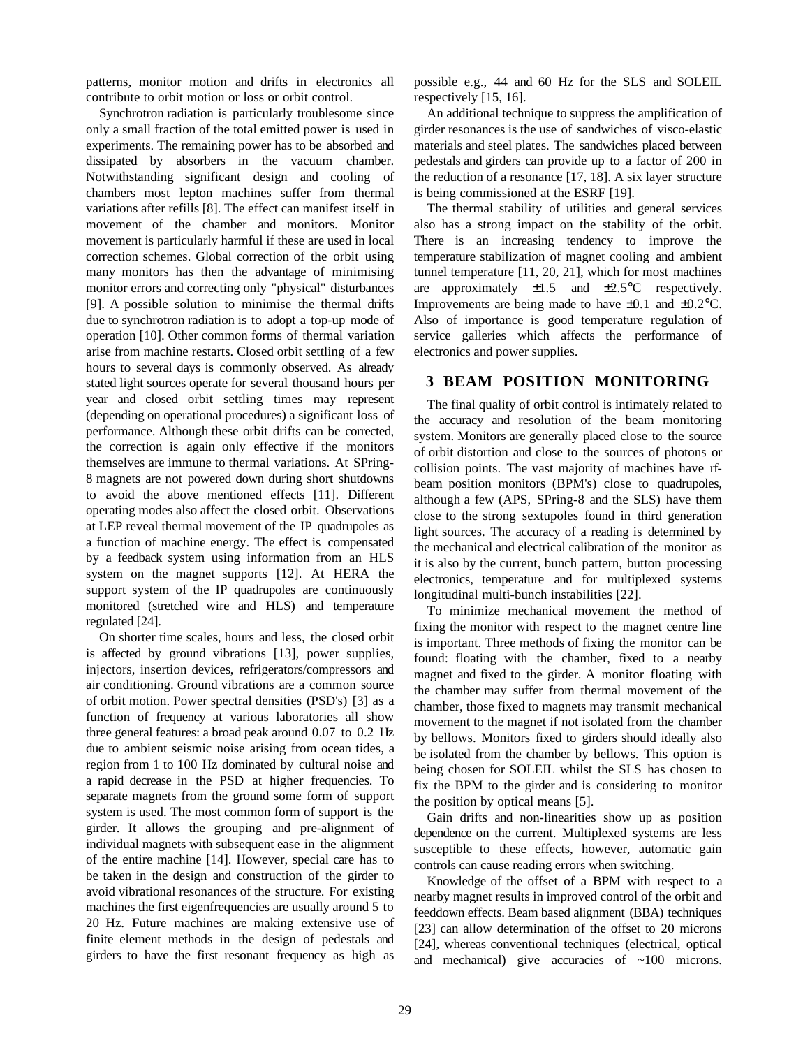patterns, monitor motion and drifts in electronics all contribute to orbit motion or loss or orbit control.

Synchrotron radiation is particularly troublesome since only a small fraction of the total emitted power is used in experiments. The remaining power has to be absorbed and dissipated by absorbers in the vacuum chamber. Notwithstanding significant design and cooling of chambers most lepton machines suffer from thermal variations after refills [8]. The effect can manifest itself in movement of the chamber and monitors. Monitor movement is particularly harmful if these are used in local correction schemes. Global correction of the orbit using many monitors has then the advantage of minimising monitor errors and correcting only "physical" disturbances [9]. A possible solution to minimise the thermal drifts due to synchrotron radiation is to adopt a top-up mode of operation [10]. Other common forms of thermal variation arise from machine restarts. Closed orbit settling of a few hours to several days is commonly observed. As already stated light sources operate for several thousand hours per year and closed orbit settling times may represent (depending on operational procedures) a significant loss of performance. Although these orbit drifts can be corrected, the correction is again only effective if the monitors themselves are immune to thermal variations. At SPring-8 magnets are not powered down during short shutdowns to avoid the above mentioned effects [11]. Different operating modes also affect the closed orbit. Observations at LEP reveal thermal movement of the IP quadrupoles as a function of machine energy. The effect is compensated by a feedback system using information from an HLS system on the magnet supports [12]. At HERA the support system of the IP quadrupoles are continuously monitored (stretched wire and HLS) and temperature regulated [24].

On shorter time scales, hours and less, the closed orbit is affected by ground vibrations [13], power supplies, injectors, insertion devices, refrigerators/compressors and air conditioning. Ground vibrations are a common source of orbit motion. Power spectral densities (PSD's) [3] as a function of frequency at various laboratories all show three general features: a broad peak around 0.07 to 0.2 Hz due to ambient seismic noise arising from ocean tides, a region from 1 to 100 Hz dominated by cultural noise and a rapid decrease in the PSD at higher frequencies. To separate magnets from the ground some form of support system is used. The most common form of support is the girder. It allows the grouping and pre-alignment of individual magnets with subsequent ease in the alignment of the entire machine [14]. However, special care has to be taken in the design and construction of the girder to avoid vibrational resonances of the structure. For existing machines the first eigenfrequencies are usually around 5 to 20 Hz. Future machines are making extensive use of finite element methods in the design of pedestals and girders to have the first resonant frequency as high as

possible e.g., 44 and 60 Hz for the SLS and SOLEIL respectively [15, 16].

An additional technique to suppress the amplification of girder resonances is the use of sandwiches of visco-elastic materials and steel plates. The sandwiches placed between pedestals and girders can provide up to a factor of 200 in the reduction of a resonance [17, 18]. A six layer structure is being commissioned at the ESRF [19].

The thermal stability of utilities and general services also has a strong impact on the stability of the orbit. There is an increasing tendency to improve the temperature stabilization of magnet cooling and ambient tunnel temperature [11, 20, 21], which for most machines are approximately  $\pm 1.5$  and  $\pm 2.5^{\circ}$ C respectively. Improvements are being made to have  $\pm 0.1$  and  $\pm 0.2$ °C. Also of importance is good temperature regulation of service galleries which affects the performance of electronics and power supplies.

## **3 BEAM POSITION MONITORING**

The final quality of orbit control is intimately related to the accuracy and resolution of the beam monitoring system. Monitors are generally placed close to the source of orbit distortion and close to the sources of photons or collision points. The vast majority of machines have rfbeam position monitors (BPM's) close to quadrupoles, although a few (APS, SPring-8 and the SLS) have them close to the strong sextupoles found in third generation light sources. The accuracy of a reading is determined by the mechanical and electrical calibration of the monitor as it is also by the current, bunch pattern, button processing electronics, temperature and for multiplexed systems longitudinal multi-bunch instabilities [22].

To minimize mechanical movement the method of fixing the monitor with respect to the magnet centre line is important. Three methods of fixing the monitor can be found: floating with the chamber, fixed to a nearby magnet and fixed to the girder. A monitor floating with the chamber may suffer from thermal movement of the chamber, those fixed to magnets may transmit mechanical movement to the magnet if not isolated from the chamber by bellows. Monitors fixed to girders should ideally also be isolated from the chamber by bellows. This option is being chosen for SOLEIL whilst the SLS has chosen to fix the BPM to the girder and is considering to monitor the position by optical means [5].

Gain drifts and non-linearities show up as position dependence on the current. Multiplexed systems are less susceptible to these effects, however, automatic gain controls can cause reading errors when switching.

Knowledge of the offset of a BPM with respect to a nearby magnet results in improved control of the orbit and feeddown effects. Beam based alignment (BBA) techniques [23] can allow determination of the offset to 20 microns [24], whereas conventional techniques (electrical, optical and mechanical) give accuracies of ~100 microns.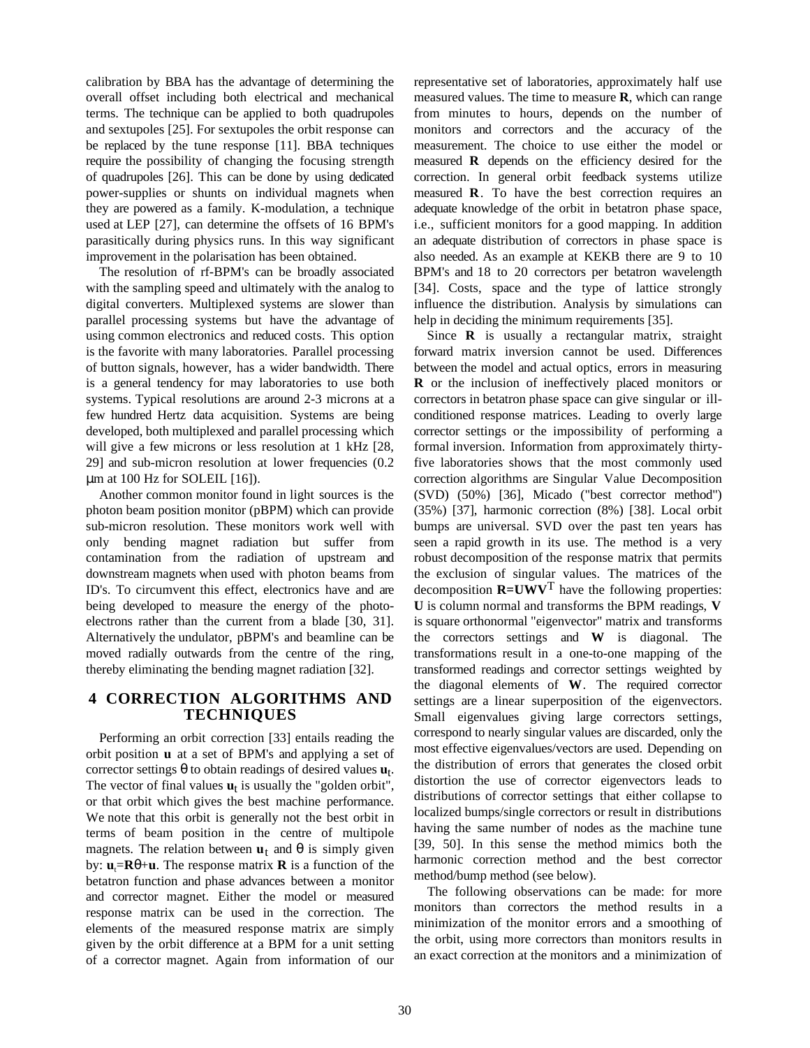calibration by BBA has the advantage of determining the overall offset including both electrical and mechanical terms. The technique can be applied to both quadrupoles and sextupoles [25]. For sextupoles the orbit response can be replaced by the tune response [11]. BBA techniques require the possibility of changing the focusing strength of quadrupoles [26]. This can be done by using dedicated power-supplies or shunts on individual magnets when they are powered as a family. K-modulation, a technique used at LEP [27], can determine the offsets of 16 BPM's parasitically during physics runs. In this way significant improvement in the polarisation has been obtained.

The resolution of rf-BPM's can be broadly associated with the sampling speed and ultimately with the analog to digital converters. Multiplexed systems are slower than parallel processing systems but have the advantage of using common electronics and reduced costs. This option is the favorite with many laboratories. Parallel processing of button signals, however, has a wider bandwidth. There is a general tendency for may laboratories to use both systems. Typical resolutions are around 2-3 microns at a few hundred Hertz data acquisition. Systems are being developed, both multiplexed and parallel processing which will give a few microns or less resolution at 1 kHz [28, 29] and sub-micron resolution at lower frequencies (0.2 µm at 100 Hz for SOLEIL [16]).

Another common monitor found in light sources is the photon beam position monitor (pBPM) which can provide sub-micron resolution. These monitors work well with only bending magnet radiation but suffer from contamination from the radiation of upstream and downstream magnets when used with photon beams from ID's. To circumvent this effect, electronics have and are being developed to measure the energy of the photoelectrons rather than the current from a blade [30, 31]. Alternatively the undulator, pBPM's and beamline can be moved radially outwards from the centre of the ring, thereby eliminating the bending magnet radiation [32].

# **4 CORRECTION ALGORITHMS AND TECHNIQUES**

Performing an orbit correction [33] entails reading the orbit position **u** at a set of BPM's and applying a set of corrector settings θ to obtain readings of desired values **u**t. The vector of final values  $\mathbf{u}_t$  is usually the "golden orbit", or that orbit which gives the best machine performance. We note that this orbit is generally not the best orbit in terms of beam position in the centre of multipole magnets. The relation between  $\mathbf{u}_t$  and  $\theta$  is simply given by: **u**<sub>t</sub>=**R**θ+**u**. The response matrix **R** is a function of the betatron function and phase advances between a monitor and corrector magnet. Either the model or measured response matrix can be used in the correction. The elements of the measured response matrix are simply given by the orbit difference at a BPM for a unit setting of a corrector magnet. Again from information of our

representative set of laboratories, approximately half use measured values. The time to measure **R**, which can range from minutes to hours, depends on the number of monitors and correctors and the accuracy of the measurement. The choice to use either the model or measured **R** depends on the efficiency desired for the correction. In general orbit feedback systems utilize measured **R**. To have the best correction requires an adequate knowledge of the orbit in betatron phase space, i.e., sufficient monitors for a good mapping. In addition an adequate distribution of correctors in phase space is also needed. As an example at KEKB there are 9 to 10 BPM's and 18 to 20 correctors per betatron wavelength [34]. Costs, space and the type of lattice strongly influence the distribution. Analysis by simulations can help in deciding the minimum requirements [35].

Since **R** is usually a rectangular matrix, straight forward matrix inversion cannot be used. Differences between the model and actual optics, errors in measuring **R** or the inclusion of ineffectively placed monitors or correctors in betatron phase space can give singular or illconditioned response matrices. Leading to overly large corrector settings or the impossibility of performing a formal inversion. Information from approximately thirtyfive laboratories shows that the most commonly used correction algorithms are Singular Value Decomposition (SVD) (50%) [36], Micado ("best corrector method") (35%) [37], harmonic correction (8%) [38]. Local orbit bumps are universal. SVD over the past ten years has seen a rapid growth in its use. The method is a very robust decomposition of the response matrix that permits the exclusion of singular values. The matrices of the decomposition  $\mathbf{R}$ =**UWV<sup>T</sup>** have the following properties: **U** is column normal and transforms the BPM readings, **V** is square orthonormal "eigenvector" matrix and transforms the correctors settings and **W** is diagonal. The transformations result in a one-to-one mapping of the transformed readings and corrector settings weighted by the diagonal elements of **W**. The required corrector settings are a linear superposition of the eigenvectors. Small eigenvalues giving large correctors settings, correspond to nearly singular values are discarded, only the most effective eigenvalues/vectors are used. Depending on the distribution of errors that generates the closed orbit distortion the use of corrector eigenvectors leads to distributions of corrector settings that either collapse to localized bumps/single correctors or result in distributions having the same number of nodes as the machine tune [39, 50]. In this sense the method mimics both the harmonic correction method and the best corrector method/bump method (see below).

The following observations can be made: for more monitors than correctors the method results in a minimization of the monitor errors and a smoothing of the orbit, using more correctors than monitors results in an exact correction at the monitors and a minimization of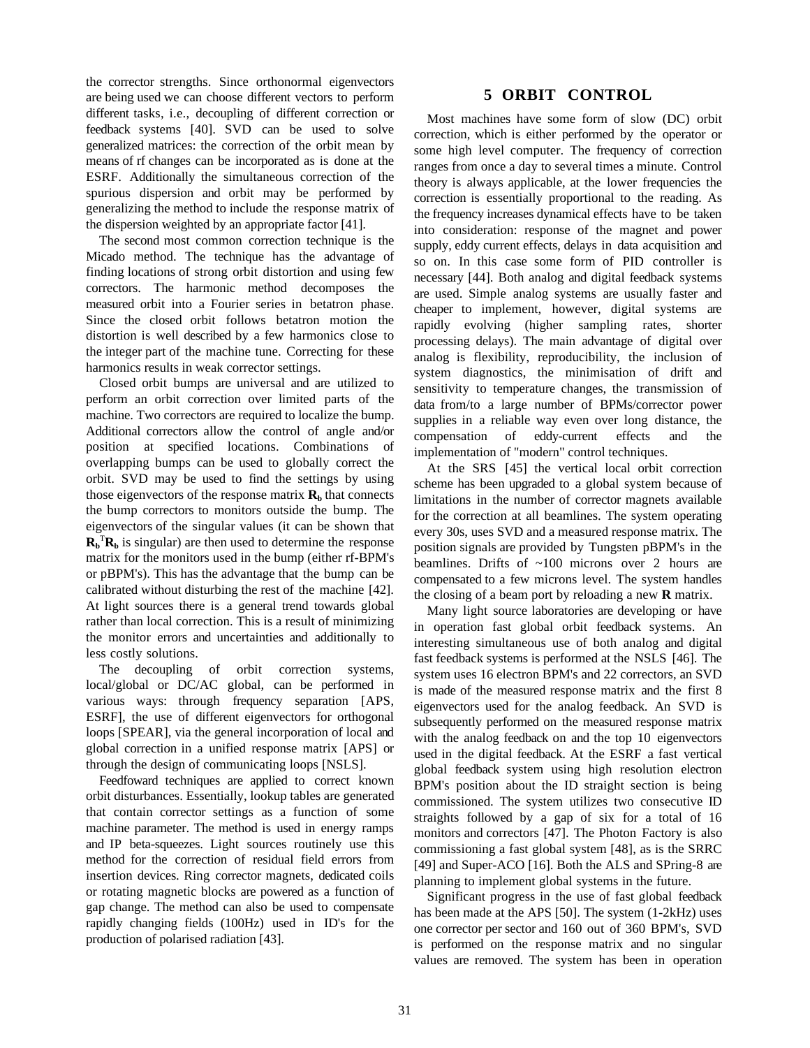the corrector strengths. Since orthonormal eigenvectors are being used we can choose different vectors to perform different tasks, i.e., decoupling of different correction or feedback systems [40]. SVD can be used to solve generalized matrices: the correction of the orbit mean by means of rf changes can be incorporated as is done at the ESRF. Additionally the simultaneous correction of the spurious dispersion and orbit may be performed by generalizing the method to include the response matrix of the dispersion weighted by an appropriate factor [41].

The second most common correction technique is the Micado method. The technique has the advantage of finding locations of strong orbit distortion and using few correctors. The harmonic method decomposes the measured orbit into a Fourier series in betatron phase. Since the closed orbit follows betatron motion the distortion is well described by a few harmonics close to the integer part of the machine tune. Correcting for these harmonics results in weak corrector settings.

Closed orbit bumps are universal and are utilized to perform an orbit correction over limited parts of the machine. Two correctors are required to localize the bump. Additional correctors allow the control of angle and/or position at specified locations. Combinations of overlapping bumps can be used to globally correct the orbit. SVD may be used to find the settings by using those eigenvectors of the response matrix  $\mathbf{R}_{\rm b}$  that connects the bump correctors to monitors outside the bump. The eigenvectors of the singular values (it can be shown that  $\mathbf{R}_{\mathbf{b}}^{\mathrm{T}} \mathbf{R}_{\mathbf{b}}$  is singular) are then used to determine the response matrix for the monitors used in the bump (either rf-BPM's or pBPM's). This has the advantage that the bump can be calibrated without disturbing the rest of the machine [42]. At light sources there is a general trend towards global rather than local correction. This is a result of minimizing the monitor errors and uncertainties and additionally to less costly solutions.

The decoupling of orbit correction systems, local/global or DC/AC global, can be performed in various ways: through frequency separation [APS, ESRF], the use of different eigenvectors for orthogonal loops [SPEAR], via the general incorporation of local and global correction in a unified response matrix [APS] or through the design of communicating loops [NSLS].

Feedfoward techniques are applied to correct known orbit disturbances. Essentially, lookup tables are generated that contain corrector settings as a function of some machine parameter. The method is used in energy ramps and IP beta-squeezes. Light sources routinely use this method for the correction of residual field errors from insertion devices. Ring corrector magnets, dedicated coils or rotating magnetic blocks are powered as a function of gap change. The method can also be used to compensate rapidly changing fields (100Hz) used in ID's for the production of polarised radiation [43].

## **5 ORBIT CONTROL**

Most machines have some form of slow (DC) orbit correction, which is either performed by the operator or some high level computer. The frequency of correction ranges from once a day to several times a minute. Control theory is always applicable, at the lower frequencies the correction is essentially proportional to the reading. As the frequency increases dynamical effects have to be taken into consideration: response of the magnet and power supply, eddy current effects, delays in data acquisition and so on. In this case some form of PID controller is necessary [44]. Both analog and digital feedback systems are used. Simple analog systems are usually faster and cheaper to implement, however, digital systems are rapidly evolving (higher sampling rates, shorter processing delays). The main advantage of digital over analog is flexibility, reproducibility, the inclusion of system diagnostics, the minimisation of drift and sensitivity to temperature changes, the transmission of data from/to a large number of BPMs/corrector power supplies in a reliable way even over long distance, the compensation of eddy-current effects and the implementation of "modern" control techniques.

At the SRS [45] the vertical local orbit correction scheme has been upgraded to a global system because of limitations in the number of corrector magnets available for the correction at all beamlines. The system operating every 30s, uses SVD and a measured response matrix. The position signals are provided by Tungsten pBPM's in the beamlines. Drifts of ~100 microns over 2 hours are compensated to a few microns level. The system handles the closing of a beam port by reloading a new **R** matrix.

Many light source laboratories are developing or have in operation fast global orbit feedback systems. An interesting simultaneous use of both analog and digital fast feedback systems is performed at the NSLS [46]. The system uses 16 electron BPM's and 22 correctors, an SVD is made of the measured response matrix and the first 8 eigenvectors used for the analog feedback. An SVD is subsequently performed on the measured response matrix with the analog feedback on and the top 10 eigenvectors used in the digital feedback. At the ESRF a fast vertical global feedback system using high resolution electron BPM's position about the ID straight section is being commissioned. The system utilizes two consecutive ID straights followed by a gap of six for a total of 16 monitors and correctors [47]. The Photon Factory is also commissioning a fast global system [48], as is the SRRC [49] and Super-ACO [16]. Both the ALS and SPring-8 are planning to implement global systems in the future.

Significant progress in the use of fast global feedback has been made at the APS [50]. The system (1-2kHz) uses one corrector per sector and 160 out of 360 BPM's, SVD is performed on the response matrix and no singular values are removed. The system has been in operation